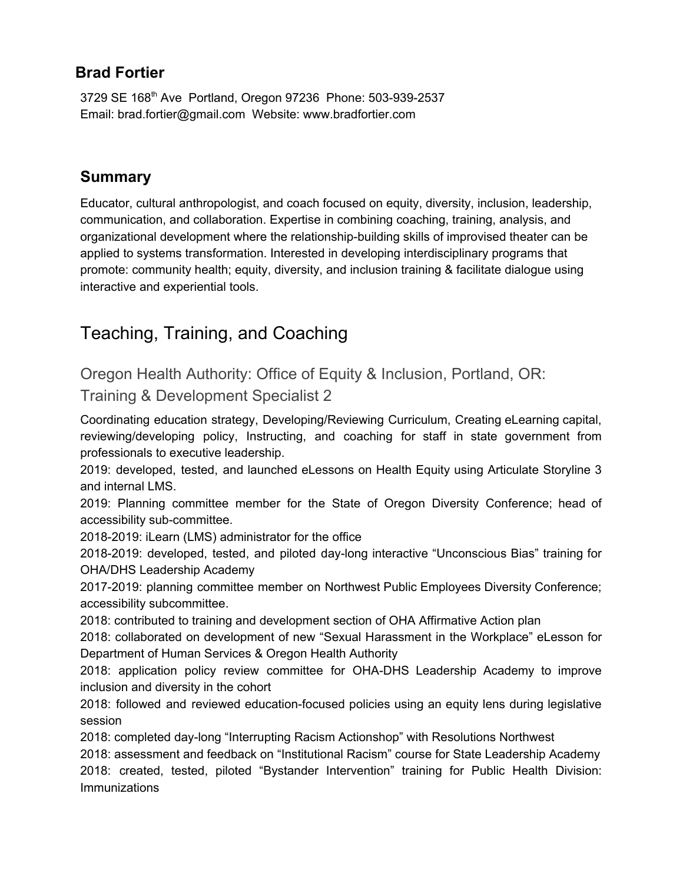## **Brad Fortier**

3729 SE 168<sup>th</sup> Ave Portland, Oregon 97236 Phone: 503-939-2537 Email: brad.fortier@gmail.com Website: www.bradfortier.com

## **Summary**

Educator, cultural anthropologist, and coach focused on equity, diversity, inclusion, leadership, communication, and collaboration. Expertise in combining coaching, training, analysis, and organizational development where the relationship-building skills of improvised theater can be applied to systems transformation. Interested in developing interdisciplinary programs that promote: community health; equity, diversity, and inclusion training & facilitate dialogue using interactive and experiential tools.

# Teaching, Training, and Coaching

Oregon Health Authority: Office of Equity & Inclusion, Portland, OR:

Training & Development Specialist 2

Coordinating education strategy, Developing/Reviewing Curriculum, Creating eLearning capital, reviewing/developing policy, Instructing, and coaching for staff in state government from professionals to executive leadership.

2019: developed, tested, and launched eLessons on Health Equity using Articulate Storyline 3 and internal LMS.

2019: Planning committee member for the State of Oregon Diversity Conference; head of accessibility sub-committee.

2018-2019: iLearn (LMS) administrator for the office

2018-2019: developed, tested, and piloted day-long interactive "Unconscious Bias" training for OHA/DHS Leadership Academy

2017-2019: planning committee member on Northwest Public Employees Diversity Conference; accessibility subcommittee.

2018: contributed to training and development section of OHA Affirmative Action plan

2018: collaborated on development of new "Sexual Harassment in the Workplace" eLesson for Department of Human Services & Oregon Health Authority

2018: application policy review committee for OHA-DHS Leadership Academy to improve inclusion and diversity in the cohort

2018: followed and reviewed education-focused policies using an equity lens during legislative session

2018: completed day-long "Interrupting Racism Actionshop" with Resolutions Northwest

2018: assessment and feedback on "Institutional Racism" course for State Leadership Academy 2018: created, tested, piloted "Bystander Intervention" training for Public Health Division: **Immunizations**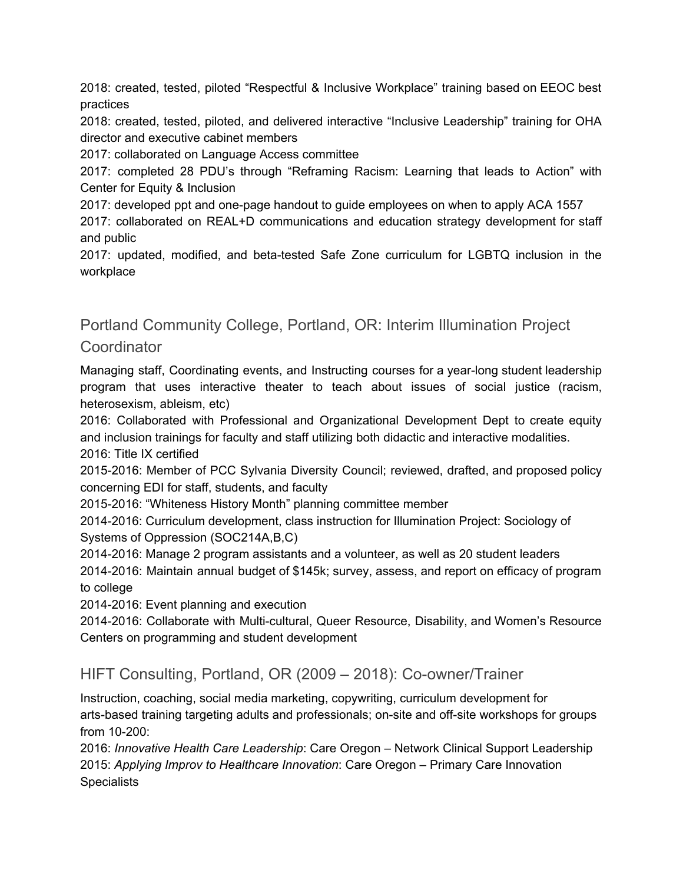2018: created, tested, piloted "Respectful & Inclusive Workplace" training based on EEOC best practices

2018: created, tested, piloted, and delivered interactive "Inclusive Leadership" training for OHA director and executive cabinet members

2017: collaborated on Language Access committee

2017: completed 28 PDU's through "Reframing Racism: Learning that leads to Action" with Center for Equity & Inclusion

2017: developed ppt and one-page handout to guide employees on when to apply ACA 1557

2017: collaborated on REAL+D communications and education strategy development for staff and public

2017: updated, modified, and beta-tested Safe Zone curriculum for LGBTQ inclusion in the workplace

Portland Community College, Portland, OR: Interim Illumination Project

## **Coordinator**

Managing staff, Coordinating events, and Instructing courses for a year-long student leadership program that uses interactive theater to teach about issues of social justice (racism, heterosexism, ableism, etc)

2016: Collaborated with Professional and Organizational Development Dept to create equity and inclusion trainings for faculty and staff utilizing both didactic and interactive modalities.

2016: Title IX certified

2015-2016: Member of PCC Sylvania Diversity Council; reviewed, drafted, and proposed policy concerning EDI for staff, students, and faculty

2015-2016: "Whiteness History Month" planning committee member

2014-2016: Curriculum development, class instruction for Illumination Project: Sociology of Systems of Oppression (SOC214A,B,C)

2014-2016: Manage 2 program assistants and a volunteer, as well as 20 student leaders

2014-2016: Maintain annual budget of \$145k; survey, assess, and report on efficacy of program to college

2014-2016: Event planning and execution

2014-2016: Collaborate with Multi-cultural, Queer Resource, Disability, and Women's Resource Centers on programming and student development

HIFT Consulting, Portland, OR (2009 – 2018): Co-owner/Trainer

Instruction, coaching, social media marketing, copywriting, curriculum development for arts-based training targeting adults and professionals; on-site and off-site workshops for groups from 10-200:

2016: *Innovative Health Care Leadership*: Care Oregon – Network Clinical Support Leadership 2015: *Applying Improv to Healthcare Innovation*: Care Oregon – Primary Care Innovation **Specialists**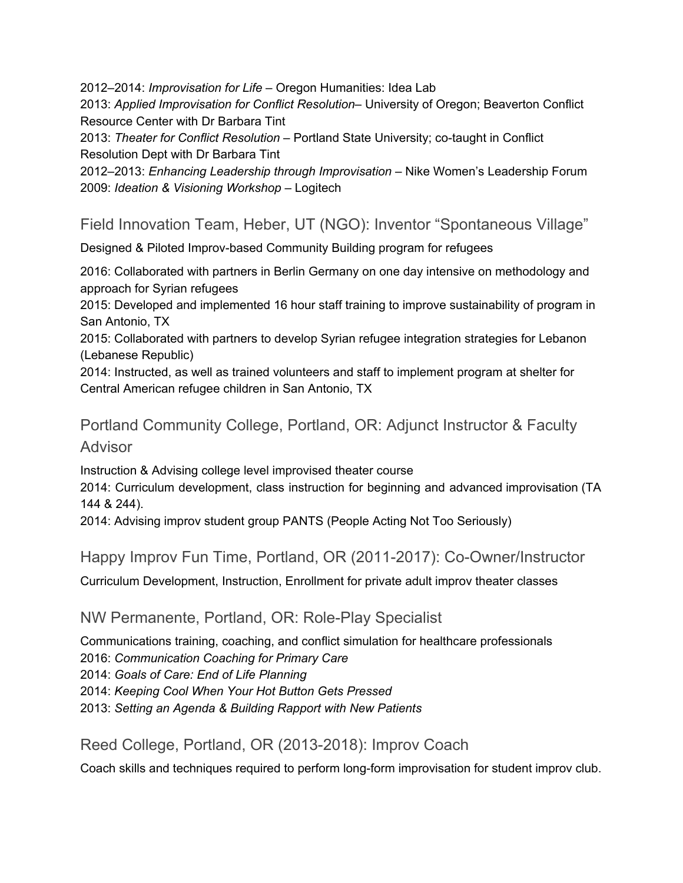2012–2014: *Improvisation for Life* – Oregon Humanities: Idea Lab

2013: *Applied Improvisation for Conflict Resolution*– University of Oregon; Beaverton Conflict Resource Center with Dr Barbara Tint

2013: *Theater for Conflict Resolution* – Portland State University; co-taught in Conflict Resolution Dept with Dr Barbara Tint

2012–2013: *Enhancing Leadership through Improvisation* – Nike Women's Leadership Forum 2009: *Ideation & Visioning Workshop* – Logitech

## Field Innovation Team, Heber, UT (NGO): Inventor "Spontaneous Village"

Designed & Piloted Improv-based Community Building program for refugees

2016: Collaborated with partners in Berlin Germany on one day intensive on methodology and approach for Syrian refugees

2015: Developed and implemented 16 hour staff training to improve sustainability of program in San Antonio, TX

2015: Collaborated with partners to develop Syrian refugee integration strategies for Lebanon (Lebanese Republic)

2014: Instructed, as well as trained volunteers and staff to implement program at shelter for Central American refugee children in San Antonio, TX

Portland Community College, Portland, OR: Adjunct Instructor & Faculty Advisor

Instruction & Advising college level improvised theater course

2014: Curriculum development, class instruction for beginning and advanced improvisation (TA 144 & 244).

2014: Advising improv student group PANTS (People Acting Not Too Seriously)

Happy Improv Fun Time, Portland, OR (2011-2017): Co-Owner/Instructor

Curriculum Development, Instruction, Enrollment for private adult improv theater classes

### NW Permanente, Portland, OR: Role-Play Specialist

Communications training, coaching, and conflict simulation for healthcare professionals 2016: *Communication Coaching for Primary Care* 2014: *Goals of Care: End of Life Planning* 2014: *Keeping Cool When Your Hot Button Gets Pressed* 2013: *Setting an Agenda & Building Rapport with New Patients*

### Reed College, Portland, OR (2013-2018): Improv Coach

Coach skills and techniques required to perform long-form improvisation for student improv club.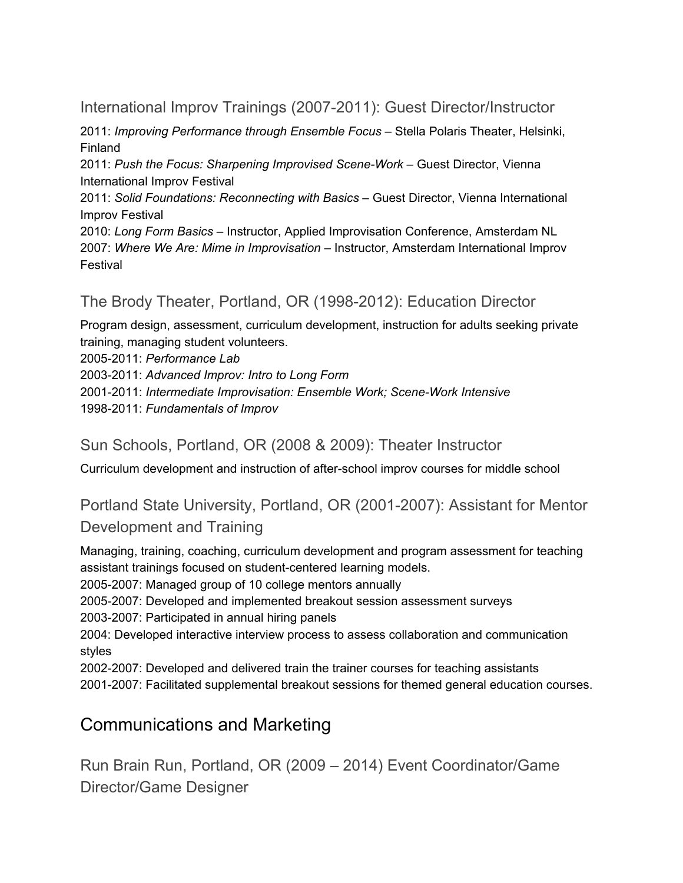International Improv Trainings (2007-2011): Guest Director/Instructor

2011: *Improving Performance through Ensemble Focus* – Stella Polaris Theater, Helsinki, Finland

2011: *Push the Focus: Sharpening Improvised Scene-Work* – Guest Director, Vienna International Improv Festival

2011: *Solid Foundations: Reconnecting with Basics* – Guest Director, Vienna International Improv Festival

2010: *Long Form Basics* – Instructor, Applied Improvisation Conference, Amsterdam NL 2007: *Where We Are: Mime in Improvisation* – Instructor, Amsterdam International Improv Festival

The Brody Theater, Portland, OR (1998-2012): Education Director

Program design, assessment, curriculum development, instruction for adults seeking private training, managing student volunteers.

2005-2011: *Performance Lab*

2003-2011: *Advanced Improv: Intro to Long Form*

2001-2011: *Intermediate Improvisation: Ensemble Work; Scene-Work Intensive* 1998-2011: *Fundamentals of Improv*

Sun Schools, Portland, OR (2008 & 2009): Theater Instructor

Curriculum development and instruction of after-school improv courses for middle school

Portland State University, Portland, OR (2001-2007): Assistant for Mentor Development and Training

Managing, training, coaching, curriculum development and program assessment for teaching assistant trainings focused on student-centered learning models.

2005-2007: Managed group of 10 college mentors annually

2005-2007: Developed and implemented breakout session assessment surveys

2003-2007: Participated in annual hiring panels

2004: Developed interactive interview process to assess collaboration and communication styles

2002-2007: Developed and delivered train the trainer courses for teaching assistants 2001-2007: Facilitated supplemental breakout sessions for themed general education courses.

# Communications and Marketing

Run Brain Run, Portland, OR (2009 – 2014) Event Coordinator/Game Director/Game Designer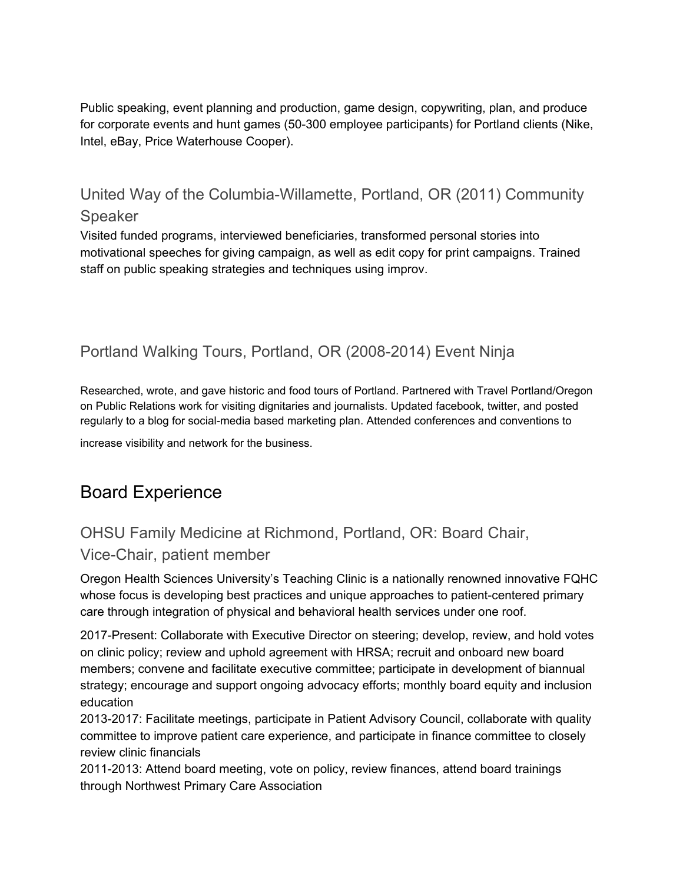Public speaking, event planning and production, game design, copywriting, plan, and produce for corporate events and hunt games (50-300 employee participants) for Portland clients (Nike, Intel, eBay, Price Waterhouse Cooper).

United Way of the Columbia-Willamette, Portland, OR (2011) Community Speaker

Visited funded programs, interviewed beneficiaries, transformed personal stories into motivational speeches for giving campaign, as well as edit copy for print campaigns. Trained staff on public speaking strategies and techniques using improv.

## Portland Walking Tours, Portland, OR (2008-2014) Event Ninja

Researched, wrote, and gave historic and food tours of Portland. Partnered with Travel Portland/Oregon on Public Relations work for visiting dignitaries and journalists. Updated facebook, twitter, and posted regularly to a blog for social-media based marketing plan. Attended conferences and conventions to

increase visibility and network for the business.

# Board Experience

# OHSU Family Medicine at Richmond, Portland, OR: Board Chair, Vice-Chair, patient member

Oregon Health Sciences University's Teaching Clinic is a nationally renowned innovative FQHC whose focus is developing best practices and unique approaches to patient-centered primary care through integration of physical and behavioral health services under one roof.

2017-Present: Collaborate with Executive Director on steering; develop, review, and hold votes on clinic policy; review and uphold agreement with HRSA; recruit and onboard new board members; convene and facilitate executive committee; participate in development of biannual strategy; encourage and support ongoing advocacy efforts; monthly board equity and inclusion education

2013-2017: Facilitate meetings, participate in Patient Advisory Council, collaborate with quality committee to improve patient care experience, and participate in finance committee to closely review clinic financials

2011-2013: Attend board meeting, vote on policy, review finances, attend board trainings through Northwest Primary Care Association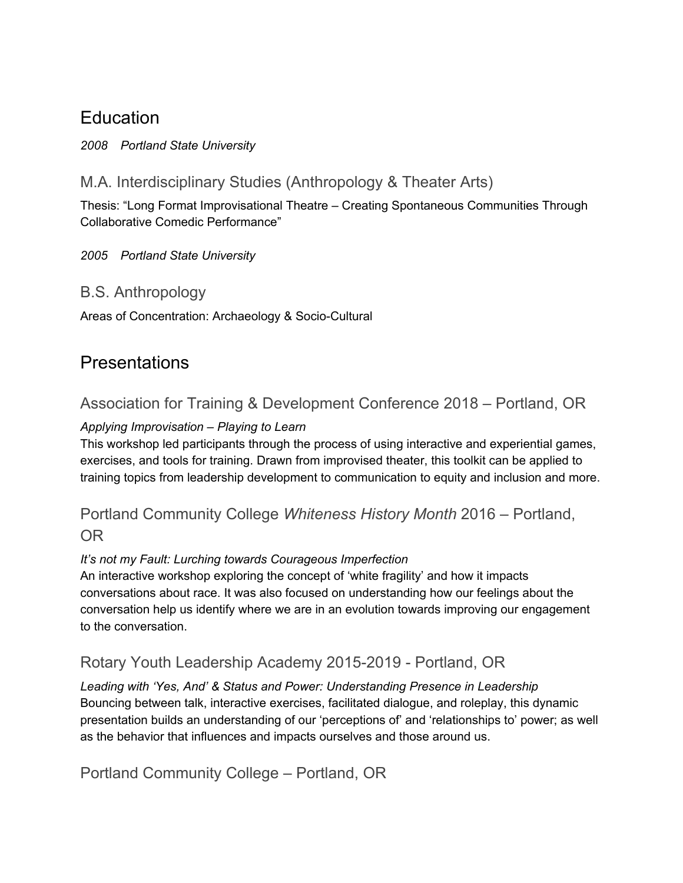# **Education**

*2008 Portland State University*

## M.A. Interdisciplinary Studies (Anthropology & Theater Arts)

Thesis: "Long Format Improvisational Theatre – Creating Spontaneous Communities Through Collaborative Comedic Performance"

#### *2005 Portland State University*

### B.S. Anthropology

Areas of Concentration: Archaeology & Socio-Cultural

# Presentations

## Association for Training & Development Conference 2018 – Portland, OR

### *Applying Improvisation – Playing to Learn*

This workshop led participants through the process of using interactive and experiential games, exercises, and tools for training. Drawn from improvised theater, this toolkit can be applied to training topics from leadership development to communication to equity and inclusion and more.

## Portland Community College *Whiteness History Month* 2016 – Portland, OR

#### *It's not my Fault: Lurching towards Courageous Imperfection*

An interactive workshop exploring the concept of 'white fragility' and how it impacts conversations about race. It was also focused on understanding how our feelings about the conversation help us identify where we are in an evolution towards improving our engagement to the conversation.

## Rotary Youth Leadership Academy 2015-2019 - Portland, OR

*Leading with 'Yes, And' & Status and Power: Understanding Presence in Leadership* Bouncing between talk, interactive exercises, facilitated dialogue, and roleplay, this dynamic presentation builds an understanding of our 'perceptions of' and 'relationships to' power; as well as the behavior that influences and impacts ourselves and those around us.

Portland Community College – Portland, OR